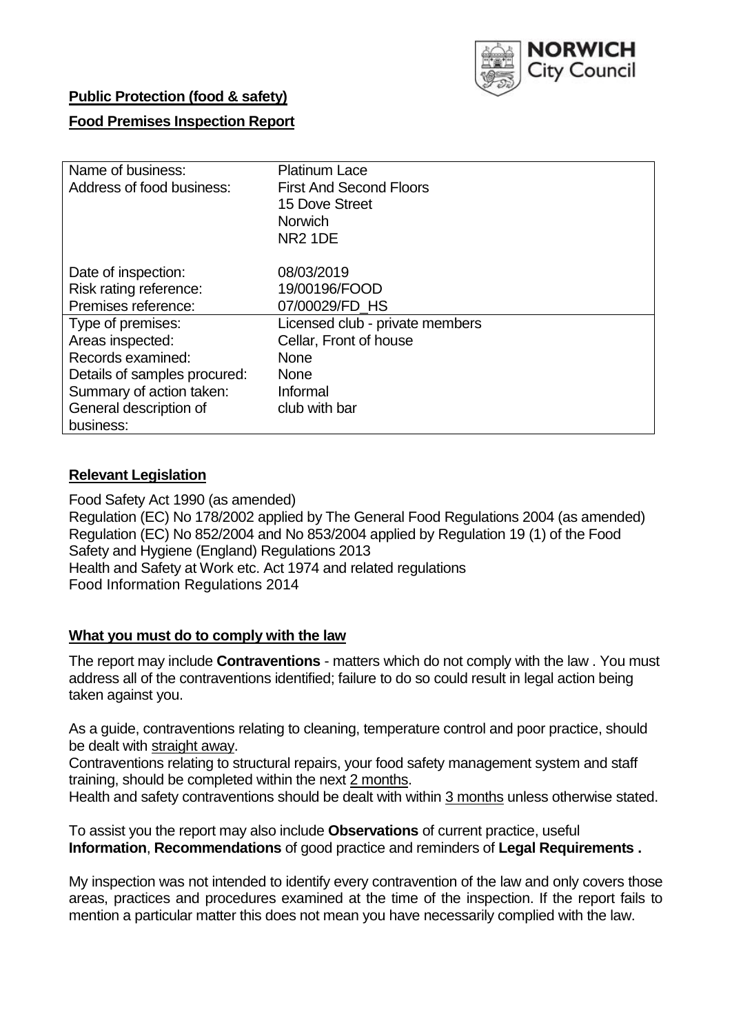

## **Public Protection (food & safety)**

### **Food Premises Inspection Report**

| Name of business:            | <b>Platinum Lace</b>            |  |  |  |  |  |
|------------------------------|---------------------------------|--|--|--|--|--|
| Address of food business:    | <b>First And Second Floors</b>  |  |  |  |  |  |
|                              | 15 Dove Street                  |  |  |  |  |  |
|                              | <b>Norwich</b>                  |  |  |  |  |  |
|                              | <b>NR2 1DE</b>                  |  |  |  |  |  |
|                              |                                 |  |  |  |  |  |
| Date of inspection:          | 08/03/2019                      |  |  |  |  |  |
| Risk rating reference:       | 19/00196/FOOD                   |  |  |  |  |  |
| Premises reference:          | 07/00029/FD HS                  |  |  |  |  |  |
| Type of premises:            | Licensed club - private members |  |  |  |  |  |
| Areas inspected:             | Cellar, Front of house          |  |  |  |  |  |
| Records examined:            | <b>None</b>                     |  |  |  |  |  |
| Details of samples procured: | <b>None</b>                     |  |  |  |  |  |
| Summary of action taken:     | Informal                        |  |  |  |  |  |
| General description of       | club with bar                   |  |  |  |  |  |
| business:                    |                                 |  |  |  |  |  |

#### **Relevant Legislation**

Food Safety Act 1990 (as amended) Regulation (EC) No 178/2002 applied by The General Food Regulations 2004 (as amended) Regulation (EC) No 852/2004 and No 853/2004 applied by Regulation 19 (1) of the Food Safety and Hygiene (England) Regulations 2013 Health and Safety at Work etc. Act 1974 and related regulations Food Information Regulations 2014

#### **What you must do to comply with the law**

The report may include **Contraventions** - matters which do not comply with the law . You must address all of the contraventions identified; failure to do so could result in legal action being taken against you.

As a guide, contraventions relating to cleaning, temperature control and poor practice, should be dealt with straight away.

Contraventions relating to structural repairs, your food safety management system and staff training, should be completed within the next 2 months.

Health and safety contraventions should be dealt with within 3 months unless otherwise stated.

To assist you the report may also include **Observations** of current practice, useful **Information**, **Recommendations** of good practice and reminders of **Legal Requirements .**

My inspection was not intended to identify every contravention of the law and only covers those areas, practices and procedures examined at the time of the inspection. If the report fails to mention a particular matter this does not mean you have necessarily complied with the law.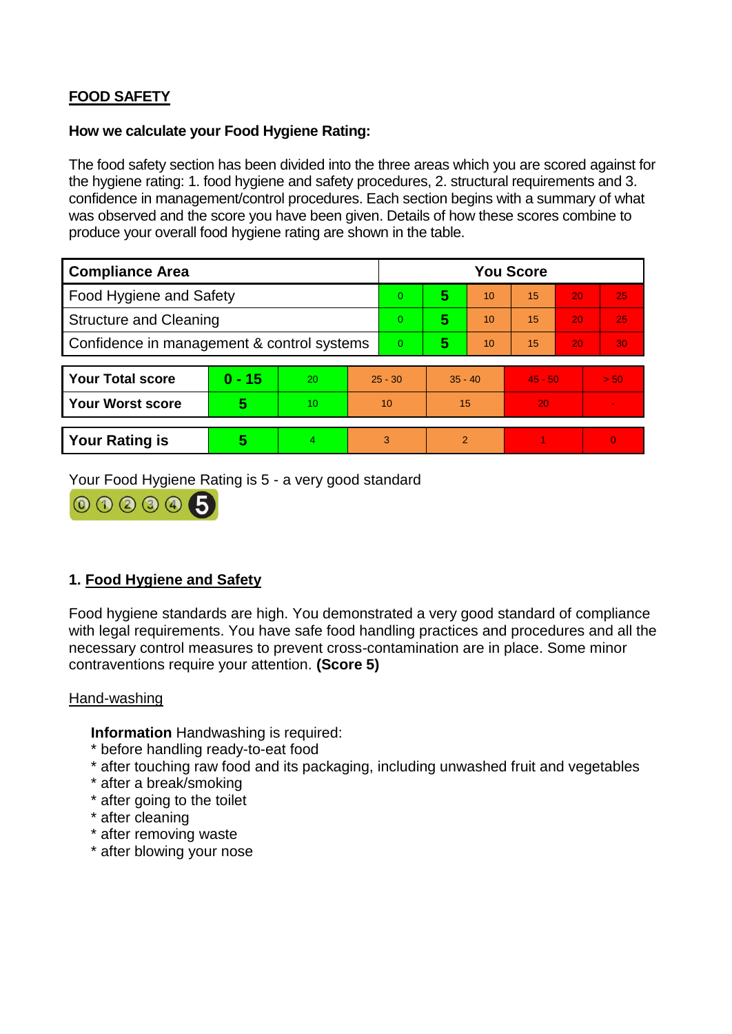# **FOOD SAFETY**

#### **How we calculate your Food Hygiene Rating:**

The food safety section has been divided into the three areas which you are scored against for the hygiene rating: 1. food hygiene and safety procedures, 2. structural requirements and 3. confidence in management/control procedures. Each section begins with a summary of what was observed and the score you have been given. Details of how these scores combine to produce your overall food hygiene rating are shown in the table.

| <b>Compliance Area</b>                     |          |    |                | <b>You Score</b> |                |    |           |    |                |  |  |
|--------------------------------------------|----------|----|----------------|------------------|----------------|----|-----------|----|----------------|--|--|
| Food Hygiene and Safety                    |          |    |                | $\Omega$         | 5              | 10 | 15        | 20 | 25             |  |  |
| <b>Structure and Cleaning</b>              |          |    | $\overline{0}$ | 5                | 10             | 15 | 20        | 25 |                |  |  |
| Confidence in management & control systems |          |    | $\Omega$       | 5                | 10             | 15 | 20        | 30 |                |  |  |
|                                            |          |    |                |                  |                |    |           |    |                |  |  |
| <b>Your Total score</b>                    | $0 - 15$ | 20 | $25 - 30$      |                  | $35 - 40$      |    | $45 - 50$ |    | > 50           |  |  |
| <b>Your Worst score</b>                    | 5        | 10 | 10             |                  | 15             |    | 20        |    | $\blacksquare$ |  |  |
|                                            |          |    |                |                  |                |    |           |    |                |  |  |
| <b>Your Rating is</b>                      | 5        | 4  | 3              |                  | $\overline{2}$ |    |           |    | $\Omega$       |  |  |

Your Food Hygiene Rating is 5 - a very good standard



# **1. Food Hygiene and Safety**

Food hygiene standards are high. You demonstrated a very good standard of compliance with legal requirements. You have safe food handling practices and procedures and all the necessary control measures to prevent cross-contamination are in place. Some minor contraventions require your attention. **(Score 5)**

### Hand-washing

**Information** Handwashing is required:

- \* before handling ready-to-eat food
- \* after touching raw food and its packaging, including unwashed fruit and vegetables
- \* after a break/smoking
- \* after going to the toilet
- \* after cleaning
- \* after removing waste
- \* after blowing your nose